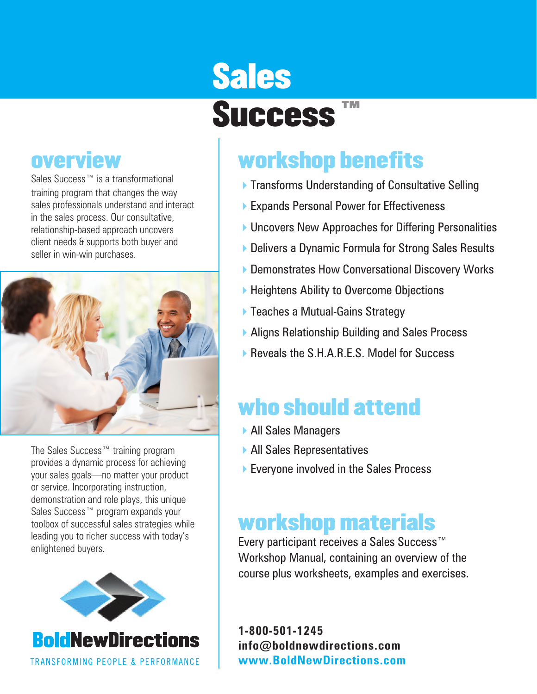### **overview**

Sales Success™ is a transformational training program that changes the way sales professionals understand and interact in the sales process. Our consultative, relationship-based approach uncovers client needs & supports both buyer and seller in win-win purchases.



The Sales Success™ training program provides a dynamic process for achieving your sales goals—no matter your product or service. Incorporating instruction, demonstration and role plays, this unique Sales Success™ program expands your toolbox of successful sales strategies while leading you to richer success with today's enlightened buyers.



# Sales Success ™

# workshop benefits

- **Transforms Understanding of Consultative Selling**
- ▶ Expands Personal Power for Effectiveness
- ▶ Uncovers New Approaches for Differing Personalities
- ▶ Delivers a Dynamic Formula for Strong Sales Results
- ▶ Demonstrates How Conversational Discovery Works
- ▶ Heightens Ability to Overcome Objections
- ▶ Teaches a Mutual-Gains Strategy
- ▶ Aligns Relationship Building and Sales Process
- ▶ Reveals the S.H.A.R.E.S. Model for Success

# who should attend

- 4All Sales Managers
- 4All Sales Representatives
- ▶ Everyone involved in the Sales Process

## workshop materials

Every participant receives a Sales Success™ Workshop Manual, containing an overview of the course plus worksheets, examples and exercises.

**1-800-501-1245 info@boldnewdirections.com www.BoldNewDirections.com**